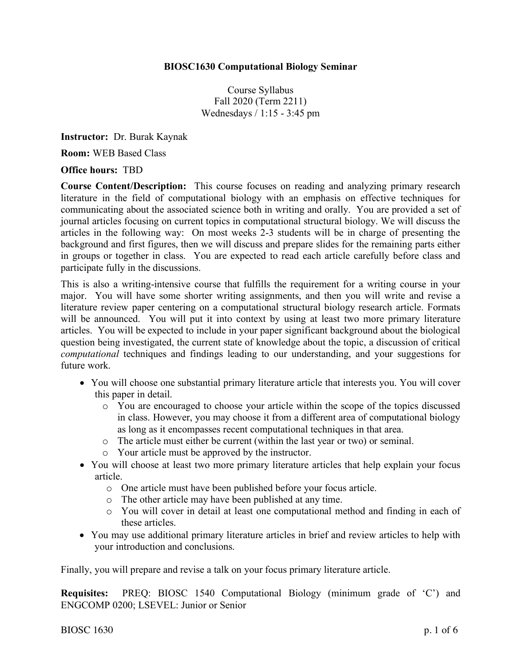### **BIOSC1630 Computational Biology Seminar**

Course Syllabus Fall 2020 (Term 2211) Wednesdays / 1:15 - 3:45 pm

**Instructor:** Dr. Burak Kaynak

**Room:** WEB Based Class

#### **Office hours:** TBD

**Course Content/Description:** This course focuses on reading and analyzing primary research literature in the field of computational biology with an emphasis on effective techniques for communicating about the associated science both in writing and orally. You are provided a set of journal articles focusing on current topics in computational structural biology. We will discuss the articles in the following way: On most weeks 2-3 students will be in charge of presenting the background and first figures, then we will discuss and prepare slides for the remaining parts either in groups or together in class. You are expected to read each article carefully before class and participate fully in the discussions.

This is also a writing-intensive course that fulfills the requirement for a writing course in your major. You will have some shorter writing assignments, and then you will write and revise a literature review paper centering on a computational structural biology research article. Formats will be announced. You will put it into context by using at least two more primary literature articles. You will be expected to include in your paper significant background about the biological question being investigated, the current state of knowledge about the topic, a discussion of critical *computational* techniques and findings leading to our understanding, and your suggestions for future work.

- You will choose one substantial primary literature article that interests you. You will cover this paper in detail.
	- o You are encouraged to choose your article within the scope of the topics discussed in class. However, you may choose it from a different area of computational biology as long as it encompasses recent computational techniques in that area.
	- o The article must either be current (within the last year or two) or seminal.
	- o Your article must be approved by the instructor.
- You will choose at least two more primary literature articles that help explain your focus article.
	- o One article must have been published before your focus article.
	- o The other article may have been published at any time.
	- o You will cover in detail at least one computational method and finding in each of these articles.
- You may use additional primary literature articles in brief and review articles to help with your introduction and conclusions.

Finally, you will prepare and revise a talk on your focus primary literature article.

**Requisites:** PREQ: BIOSC 1540 Computational Biology (minimum grade of 'C') and ENGCOMP 0200; LSEVEL: Junior or Senior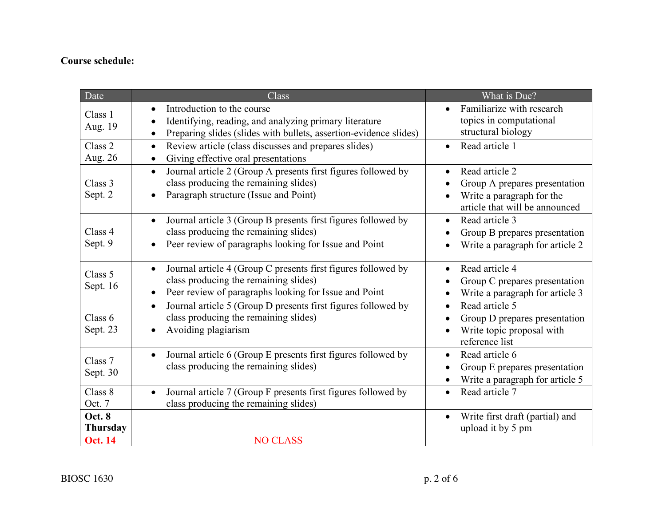## **Course schedule:**

| Date                             | Class                                                                                                                                                                                     | What is Due?                                                                                                                |
|----------------------------------|-------------------------------------------------------------------------------------------------------------------------------------------------------------------------------------------|-----------------------------------------------------------------------------------------------------------------------------|
| Class 1<br>Aug. 19               | Introduction to the course<br>Identifying, reading, and analyzing primary literature<br>Preparing slides (slides with bullets, assertion-evidence slides)<br>$\bullet$                    | Familiarize with research<br>topics in computational<br>structural biology                                                  |
| Class 2<br>Aug. 26               | Review article (class discusses and prepares slides)<br>$\bullet$<br>Giving effective oral presentations<br>$\bullet$                                                                     | Read article 1                                                                                                              |
| Class 3<br>Sept. 2               | Journal article 2 (Group A presents first figures followed by<br>$\bullet$<br>class producing the remaining slides)<br>Paragraph structure (Issue and Point)                              | Read article 2<br>Group A prepares presentation<br>Write a paragraph for the<br>$\bullet$<br>article that will be announced |
| Class 4<br>Sept. 9               | Journal article 3 (Group B presents first figures followed by<br>$\bullet$<br>class producing the remaining slides)<br>Peer review of paragraphs looking for Issue and Point<br>$\bullet$ | Read article 3<br>$\bullet$<br>Group B prepares presentation<br>Write a paragraph for article 2                             |
| Class 5<br>Sept. 16              | Journal article 4 (Group C presents first figures followed by<br>$\bullet$<br>class producing the remaining slides)<br>Peer review of paragraphs looking for Issue and Point<br>$\bullet$ | Read article 4<br>$\bullet$<br>Group C prepares presentation<br>Write a paragraph for article 3                             |
| Class 6<br>Sept. 23              | Journal article 5 (Group D presents first figures followed by<br>$\bullet$<br>class producing the remaining slides)<br>Avoiding plagiarism                                                | Read article 5<br>$\bullet$<br>Group D prepares presentation<br>Write topic proposal with<br>reference list                 |
| Class <sub>7</sub><br>Sept. 30   | Journal article 6 (Group E presents first figures followed by<br>$\bullet$<br>class producing the remaining slides)                                                                       | Read article 6<br>$\bullet$<br>Group E prepares presentation<br>Write a paragraph for article 5                             |
| Class 8<br>Oct. 7                | Journal article 7 (Group F presents first figures followed by<br>$\bullet$<br>class producing the remaining slides)                                                                       | Read article 7                                                                                                              |
| <b>Oct. 8</b><br><b>Thursday</b> |                                                                                                                                                                                           | Write first draft (partial) and<br>$\bullet$<br>upload it by 5 pm                                                           |
| <b>Oct. 14</b>                   | <b>NO CLASS</b>                                                                                                                                                                           |                                                                                                                             |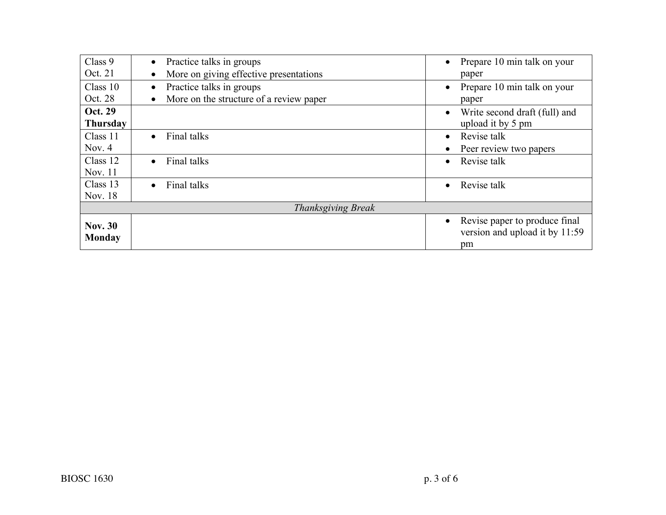| Class 9                         | Practice talks in groups                | Prepare 10 min talk on your                                                        |  |  |
|---------------------------------|-----------------------------------------|------------------------------------------------------------------------------------|--|--|
| Oct. 21                         | More on giving effective presentations  | paper                                                                              |  |  |
| Class $10$                      | Practice talks in groups<br>$\bullet$   | Prepare 10 min talk on your<br>$\bullet$                                           |  |  |
| Oct. 28                         | More on the structure of a review paper | paper                                                                              |  |  |
| Oct. 29<br><b>Thursday</b>      |                                         | Write second draft (full) and<br>upload it by 5 pm                                 |  |  |
| Class 11                        | Final talks                             | Revise talk                                                                        |  |  |
| Nov. $4$                        |                                         | Peer review two papers                                                             |  |  |
| Class 12                        | Final talks<br>$\bullet$                | Revise talk                                                                        |  |  |
| Nov. 11                         |                                         |                                                                                    |  |  |
| Class 13                        | Final talks<br>$\bullet$                | Revise talk<br>$\bullet$                                                           |  |  |
| Nov. 18                         |                                         |                                                                                    |  |  |
| <b>Thanksgiving Break</b>       |                                         |                                                                                    |  |  |
| <b>Nov. 30</b><br><b>Monday</b> |                                         | Revise paper to produce final<br>$\bullet$<br>version and upload it by 11:59<br>pm |  |  |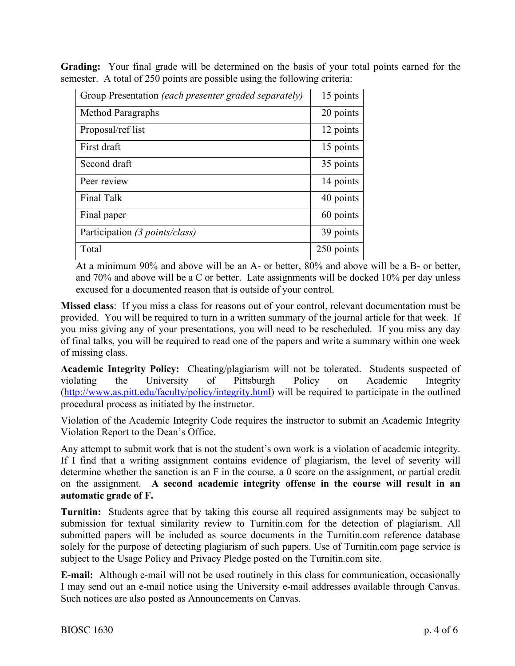**Grading:** Your final grade will be determined on the basis of your total points earned for the semester. A total of 250 points are possible using the following criteria:

| Group Presentation (each presenter graded separately) | 15 points  |
|-------------------------------------------------------|------------|
| Method Paragraphs                                     | 20 points  |
| Proposal/ref list                                     | 12 points  |
| First draft                                           | 15 points  |
| Second draft                                          | 35 points  |
| Peer review                                           | 14 points  |
| Final Talk                                            | 40 points  |
| Final paper                                           | 60 points  |
| Participation (3 points/class)                        | 39 points  |
| Total                                                 | 250 points |

At a minimum 90% and above will be an A- or better, 80% and above will be a B- or better, and 70% and above will be a C or better. Late assignments will be docked 10% per day unless excused for a documented reason that is outside of your control.

**Missed class**: If you miss a class for reasons out of your control, relevant documentation must be provided. You will be required to turn in a written summary of the journal article for that week. If you miss giving any of your presentations, you will need to be rescheduled. If you miss any day of final talks, you will be required to read one of the papers and write a summary within one week of missing class.

**Academic Integrity Policy:** Cheating/plagiarism will not be tolerated. Students suspected of violating the University of Pittsburgh Policy on Academic Integrity (http://www.as.pitt.edu/faculty/policy/integrity.html) will be required to participate in the outlined procedural process as initiated by the instructor.

Violation of the Academic Integrity Code requires the instructor to submit an Academic Integrity Violation Report to the Dean's Office.

Any attempt to submit work that is not the student's own work is a violation of academic integrity. If I find that a writing assignment contains evidence of plagiarism, the level of severity will determine whether the sanction is an F in the course, a 0 score on the assignment, or partial credit on the assignment. **A second academic integrity offense in the course will result in an automatic grade of F.** 

**Turnitin:**Students agree that by taking this course all required assignments may be subject to submission for textual similarity review to Turnitin.com for the detection of plagiarism. All submitted papers will be included as source documents in the Turnitin.com reference database solely for the purpose of detecting plagiarism of such papers. Use of Turnitin.com page service is subject to the Usage Policy and Privacy Pledge posted on the Turnitin.com site.

**E-mail:** Although e-mail will not be used routinely in this class for communication, occasionally I may send out an e-mail notice using the University e-mail addresses available through Canvas. Such notices are also posted as Announcements on Canvas.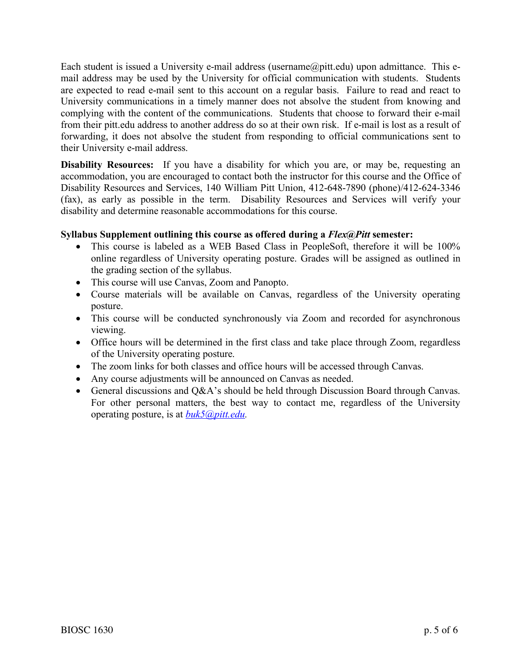Each student is issued a University e-mail address (username $@$ pitt.edu) upon admittance. This email address may be used by the University for official communication with students. Students are expected to read e-mail sent to this account on a regular basis. Failure to read and react to University communications in a timely manner does not absolve the student from knowing and complying with the content of the communications. Students that choose to forward their e-mail from their pitt.edu address to another address do so at their own risk. If e-mail is lost as a result of forwarding, it does not absolve the student from responding to official communications sent to their University e-mail address.

**Disability Resources:** If you have a disability for which you are, or may be, requesting an accommodation, you are encouraged to contact both the instructor for this course and the Office of Disability Resources and Services, 140 William Pitt Union, 412-648-7890 (phone)/412-624-3346 (fax), as early as possible in the term. Disability Resources and Services will verify your disability and determine reasonable accommodations for this course.

### **Syllabus Supplement outlining this course as offered during a** *Flex@Pitt* **semester:**

- This course is labeled as a WEB Based Class in PeopleSoft, therefore it will be 100% online regardless of University operating posture. Grades will be assigned as outlined in the grading section of the syllabus.
- This course will use Canvas, Zoom and Panopto.
- Course materials will be available on Canvas, regardless of the University operating posture.
- This course will be conducted synchronously via Zoom and recorded for asynchronous viewing.
- Office hours will be determined in the first class and take place through Zoom, regardless of the University operating posture.
- The zoom links for both classes and office hours will be accessed through Canvas.
- Any course adjustments will be announced on Canvas as needed.
- General discussions and Q&A's should be held through Discussion Board through Canvas. For other personal matters, the best way to contact me, regardless of the University operating posture, is at *buk5@pitt.edu.*